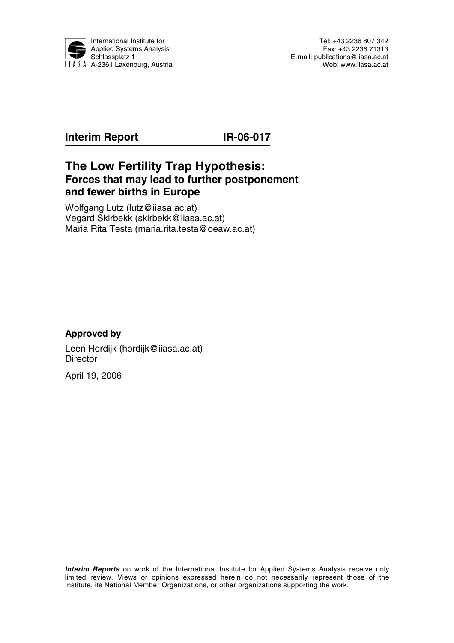

## **Interim Report IR-06-017**

# **The Low Fertility Trap Hypothesis: Forces that may lead to further postponement and fewer births in Europe**

Wolfgang Lutz (lutz@iiasa.ac.at) Vegard Skirbekk (skirbekk@iiasa.ac.at) Maria Rita Testa (maria.rita.testa@oeaw.ac.at)

#### **Approved by**

Leen Hordijk (hordijk@iiasa.ac.at) **Director** 

April 19, 2006

**Interim Reports** on work of the International Institute for Applied Systems Analysis receive only limited review. Views or opinions expressed herein do not necessarily represent those of the Institute, its National Member Organizations, or other organizations supporting the work.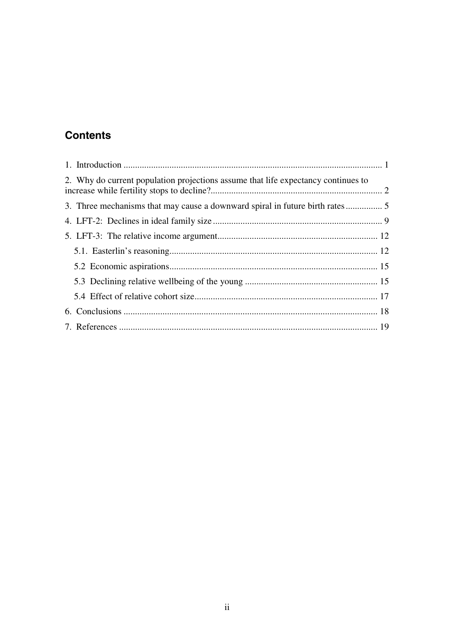# **Contents**

| 2. Why do current population projections assume that life expectancy continues to |  |
|-----------------------------------------------------------------------------------|--|
|                                                                                   |  |
|                                                                                   |  |
|                                                                                   |  |
|                                                                                   |  |
|                                                                                   |  |
|                                                                                   |  |
|                                                                                   |  |
|                                                                                   |  |
|                                                                                   |  |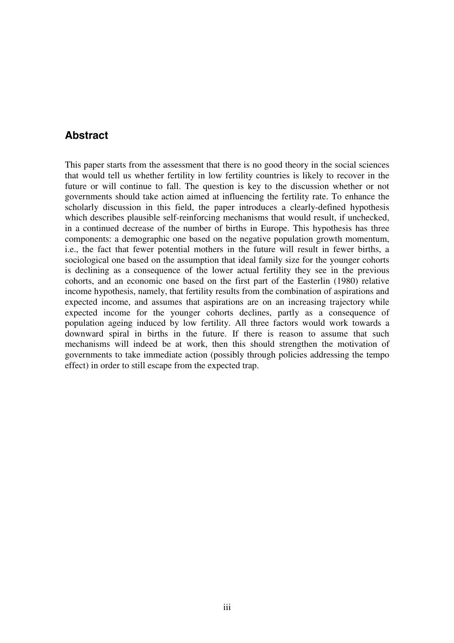#### **Abstract**

This paper starts from the assessment that there is no good theory in the social sciences that would tell us whether fertility in low fertility countries is likely to recover in the future or will continue to fall. The question is key to the discussion whether or not governments should take action aimed at influencing the fertility rate. To enhance the scholarly discussion in this field, the paper introduces a clearly-defined hypothesis which describes plausible self-reinforcing mechanisms that would result, if unchecked, in a continued decrease of the number of births in Europe. This hypothesis has three components: a demographic one based on the negative population growth momentum, i.e., the fact that fewer potential mothers in the future will result in fewer births, a sociological one based on the assumption that ideal family size for the younger cohorts is declining as a consequence of the lower actual fertility they see in the previous cohorts, and an economic one based on the first part of the Easterlin (1980) relative income hypothesis, namely, that fertility results from the combination of aspirations and expected income, and assumes that aspirations are on an increasing trajectory while expected income for the younger cohorts declines, partly as a consequence of population ageing induced by low fertility. All three factors would work towards a downward spiral in births in the future. If there is reason to assume that such mechanisms will indeed be at work, then this should strengthen the motivation of governments to take immediate action (possibly through policies addressing the tempo effect) in order to still escape from the expected trap.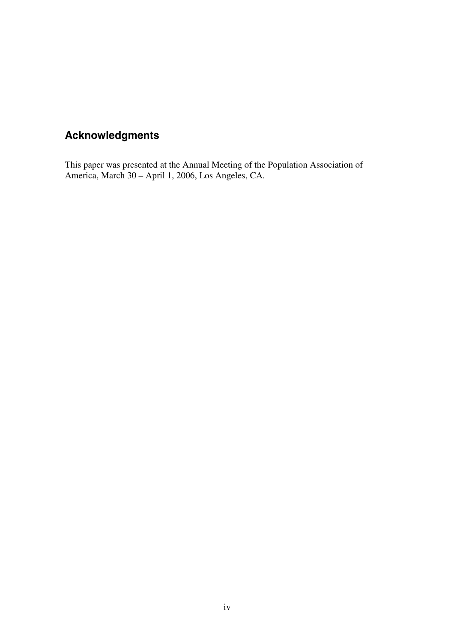# **Acknowledgments**

This paper was presented at the Annual Meeting of the Population Association of America, March 30 – April 1, 2006, Los Angeles, CA.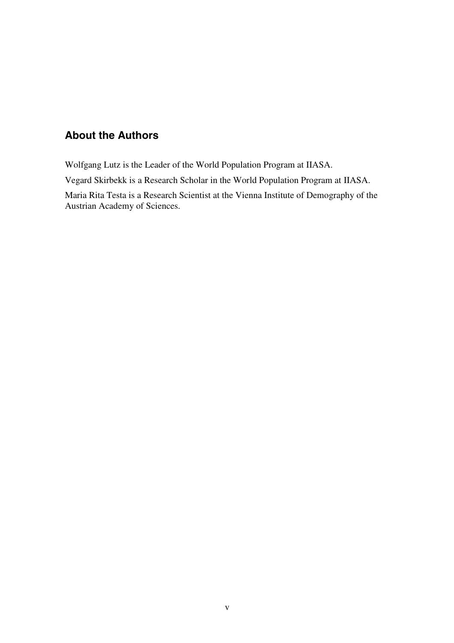## **About the Authors**

Wolfgang Lutz is the Leader of the World Population Program at IIASA.

Vegard Skirbekk is a Research Scholar in the World Population Program at IIASA.

Maria Rita Testa is a Research Scientist at the Vienna Institute of Demography of the Austrian Academy of Sciences.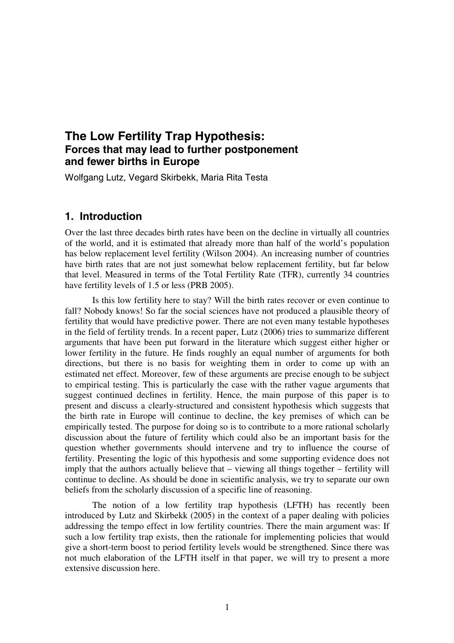## **The Low Fertility Trap Hypothesis: Forces that may lead to further postponement and fewer births in Europe**

Wolfgang Lutz, Vegard Skirbekk, Maria Rita Testa

#### **1. Introduction**

Over the last three decades birth rates have been on the decline in virtually all countries of the world, and it is estimated that already more than half of the world's population has below replacement level fertility (Wilson 2004). An increasing number of countries have birth rates that are not just somewhat below replacement fertility, but far below that level. Measured in terms of the Total Fertility Rate (TFR), currently 34 countries have fertility levels of 1.5 or less (PRB 2005).

Is this low fertility here to stay? Will the birth rates recover or even continue to fall? Nobody knows! So far the social sciences have not produced a plausible theory of fertility that would have predictive power. There are not even many testable hypotheses in the field of fertility trends. In a recent paper, Lutz (2006) tries to summarize different arguments that have been put forward in the literature which suggest either higher or lower fertility in the future. He finds roughly an equal number of arguments for both directions, but there is no basis for weighting them in order to come up with an estimated net effect. Moreover, few of these arguments are precise enough to be subject to empirical testing. This is particularly the case with the rather vague arguments that suggest continued declines in fertility. Hence, the main purpose of this paper is to present and discuss a clearly-structured and consistent hypothesis which suggests that the birth rate in Europe will continue to decline, the key premises of which can be empirically tested. The purpose for doing so is to contribute to a more rational scholarly discussion about the future of fertility which could also be an important basis for the question whether governments should intervene and try to influence the course of fertility. Presenting the logic of this hypothesis and some supporting evidence does not imply that the authors actually believe that – viewing all things together – fertility will continue to decline. As should be done in scientific analysis, we try to separate our own beliefs from the scholarly discussion of a specific line of reasoning.

The notion of a low fertility trap hypothesis (LFTH) has recently been introduced by Lutz and Skirbekk (2005) in the context of a paper dealing with policies addressing the tempo effect in low fertility countries. There the main argument was: If such a low fertility trap exists, then the rationale for implementing policies that would give a short-term boost to period fertility levels would be strengthened. Since there was not much elaboration of the LFTH itself in that paper, we will try to present a more extensive discussion here.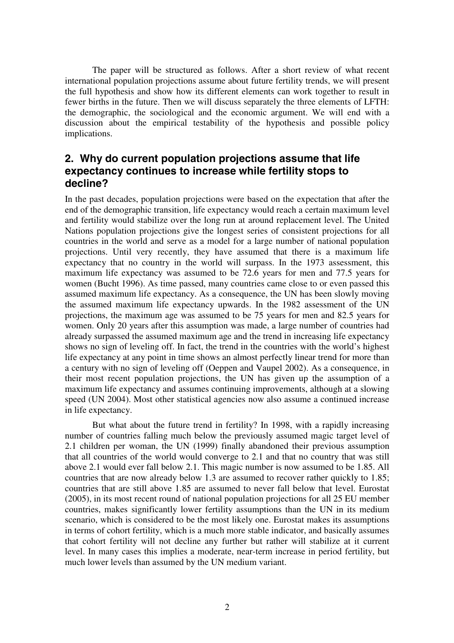The paper will be structured as follows. After a short review of what recent international population projections assume about future fertility trends, we will present the full hypothesis and show how its different elements can work together to result in fewer births in the future. Then we will discuss separately the three elements of LFTH: the demographic, the sociological and the economic argument. We will end with a discussion about the empirical testability of the hypothesis and possible policy implications.

## **2. Why do current population projections assume that life expectancy continues to increase while fertility stops to decline?**

In the past decades, population projections were based on the expectation that after the end of the demographic transition, life expectancy would reach a certain maximum level and fertility would stabilize over the long run at around replacement level. The United Nations population projections give the longest series of consistent projections for all countries in the world and serve as a model for a large number of national population projections. Until very recently, they have assumed that there is a maximum life expectancy that no country in the world will surpass. In the 1973 assessment, this maximum life expectancy was assumed to be 72.6 years for men and 77.5 years for women (Bucht 1996). As time passed, many countries came close to or even passed this assumed maximum life expectancy. As a consequence, the UN has been slowly moving the assumed maximum life expectancy upwards. In the 1982 assessment of the UN projections, the maximum age was assumed to be 75 years for men and 82.5 years for women. Only 20 years after this assumption was made, a large number of countries had already surpassed the assumed maximum age and the trend in increasing life expectancy shows no sign of leveling off. In fact, the trend in the countries with the world's highest life expectancy at any point in time shows an almost perfectly linear trend for more than a century with no sign of leveling off (Oeppen and Vaupel 2002). As a consequence, in their most recent population projections, the UN has given up the assumption of a maximum life expectancy and assumes continuing improvements, although at a slowing speed (UN 2004). Most other statistical agencies now also assume a continued increase in life expectancy.

But what about the future trend in fertility? In 1998, with a rapidly increasing number of countries falling much below the previously assumed magic target level of 2.1 children per woman, the UN (1999) finally abandoned their previous assumption that all countries of the world would converge to 2.1 and that no country that was still above 2.1 would ever fall below 2.1. This magic number is now assumed to be 1.85. All countries that are now already below 1.3 are assumed to recover rather quickly to 1.85; countries that are still above 1.85 are assumed to never fall below that level. Eurostat (2005), in its most recent round of national population projections for all 25 EU member countries, makes significantly lower fertility assumptions than the UN in its medium scenario, which is considered to be the most likely one. Eurostat makes its assumptions in terms of cohort fertility, which is a much more stable indicator, and basically assumes that cohort fertility will not decline any further but rather will stabilize at it current level. In many cases this implies a moderate, near-term increase in period fertility, but much lower levels than assumed by the UN medium variant.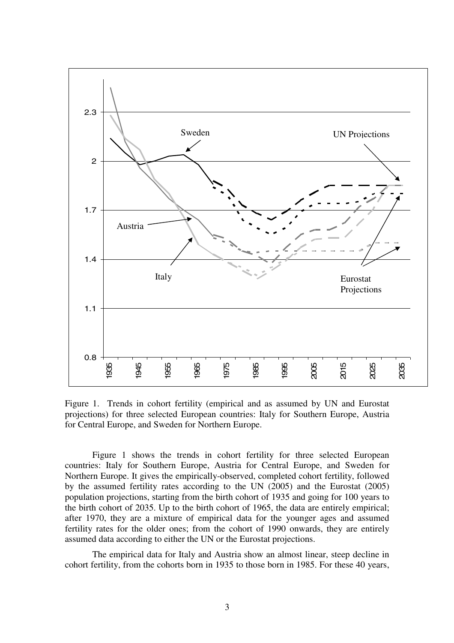

Figure 1. Trends in cohort fertility (empirical and as assumed by UN and Eurostat projections) for three selected European countries: Italy for Southern Europe, Austria for Central Europe, and Sweden for Northern Europe.

Figure 1 shows the trends in cohort fertility for three selected European countries: Italy for Southern Europe, Austria for Central Europe, and Sweden for Northern Europe. It gives the empirically-observed, completed cohort fertility, followed by the assumed fertility rates according to the UN (2005) and the Eurostat (2005) population projections, starting from the birth cohort of 1935 and going for 100 years to the birth cohort of 2035. Up to the birth cohort of 1965, the data are entirely empirical; after 1970, they are a mixture of empirical data for the younger ages and assumed fertility rates for the older ones; from the cohort of 1990 onwards, they are entirely assumed data according to either the UN or the Eurostat projections.

The empirical data for Italy and Austria show an almost linear, steep decline in cohort fertility, from the cohorts born in 1935 to those born in 1985. For these 40 years,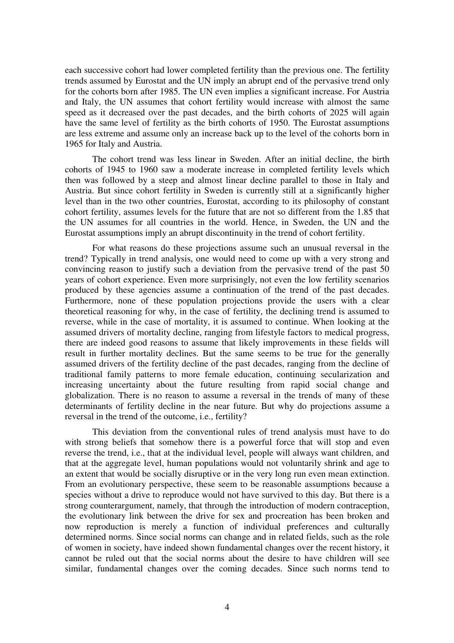each successive cohort had lower completed fertility than the previous one. The fertility trends assumed by Eurostat and the UN imply an abrupt end of the pervasive trend only for the cohorts born after 1985. The UN even implies a significant increase. For Austria and Italy, the UN assumes that cohort fertility would increase with almost the same speed as it decreased over the past decades, and the birth cohorts of 2025 will again have the same level of fertility as the birth cohorts of 1950. The Eurostat assumptions are less extreme and assume only an increase back up to the level of the cohorts born in 1965 for Italy and Austria.

The cohort trend was less linear in Sweden. After an initial decline, the birth cohorts of 1945 to 1960 saw a moderate increase in completed fertility levels which then was followed by a steep and almost linear decline parallel to those in Italy and Austria. But since cohort fertility in Sweden is currently still at a significantly higher level than in the two other countries, Eurostat, according to its philosophy of constant cohort fertility, assumes levels for the future that are not so different from the 1.85 that the UN assumes for all countries in the world. Hence, in Sweden, the UN and the Eurostat assumptions imply an abrupt discontinuity in the trend of cohort fertility.

For what reasons do these projections assume such an unusual reversal in the trend? Typically in trend analysis, one would need to come up with a very strong and convincing reason to justify such a deviation from the pervasive trend of the past 50 years of cohort experience. Even more surprisingly, not even the low fertility scenarios produced by these agencies assume a continuation of the trend of the past decades. Furthermore, none of these population projections provide the users with a clear theoretical reasoning for why, in the case of fertility, the declining trend is assumed to reverse, while in the case of mortality, it is assumed to continue. When looking at the assumed drivers of mortality decline, ranging from lifestyle factors to medical progress, there are indeed good reasons to assume that likely improvements in these fields will result in further mortality declines. But the same seems to be true for the generally assumed drivers of the fertility decline of the past decades, ranging from the decline of traditional family patterns to more female education, continuing secularization and increasing uncertainty about the future resulting from rapid social change and globalization. There is no reason to assume a reversal in the trends of many of these determinants of fertility decline in the near future. But why do projections assume a reversal in the trend of the outcome, i.e., fertility?

This deviation from the conventional rules of trend analysis must have to do with strong beliefs that somehow there is a powerful force that will stop and even reverse the trend, i.e., that at the individual level, people will always want children, and that at the aggregate level, human populations would not voluntarily shrink and age to an extent that would be socially disruptive or in the very long run even mean extinction. From an evolutionary perspective, these seem to be reasonable assumptions because a species without a drive to reproduce would not have survived to this day. But there is a strong counterargument, namely, that through the introduction of modern contraception, the evolutionary link between the drive for sex and procreation has been broken and now reproduction is merely a function of individual preferences and culturally determined norms. Since social norms can change and in related fields, such as the role of women in society, have indeed shown fundamental changes over the recent history, it cannot be ruled out that the social norms about the desire to have children will see similar, fundamental changes over the coming decades. Since such norms tend to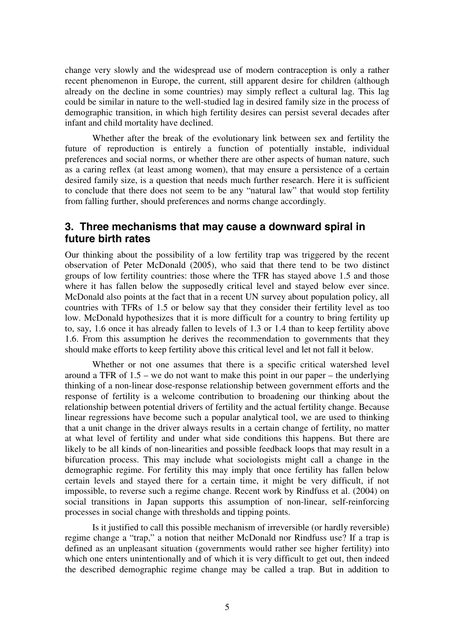change very slowly and the widespread use of modern contraception is only a rather recent phenomenon in Europe, the current, still apparent desire for children (although already on the decline in some countries) may simply reflect a cultural lag. This lag could be similar in nature to the well-studied lag in desired family size in the process of demographic transition, in which high fertility desires can persist several decades after infant and child mortality have declined.

Whether after the break of the evolutionary link between sex and fertility the future of reproduction is entirely a function of potentially instable, individual preferences and social norms, or whether there are other aspects of human nature, such as a caring reflex (at least among women), that may ensure a persistence of a certain desired family size, is a question that needs much further research. Here it is sufficient to conclude that there does not seem to be any "natural law" that would stop fertility from falling further, should preferences and norms change accordingly.

#### **3. Three mechanisms that may cause a downward spiral in future birth rates**

Our thinking about the possibility of a low fertility trap was triggered by the recent observation of Peter McDonald (2005), who said that there tend to be two distinct groups of low fertility countries: those where the TFR has stayed above 1.5 and those where it has fallen below the supposedly critical level and stayed below ever since. McDonald also points at the fact that in a recent UN survey about population policy, all countries with TFRs of 1.5 or below say that they consider their fertility level as too low. McDonald hypothesizes that it is more difficult for a country to bring fertility up to, say, 1.6 once it has already fallen to levels of 1.3 or 1.4 than to keep fertility above 1.6. From this assumption he derives the recommendation to governments that they should make efforts to keep fertility above this critical level and let not fall it below.

Whether or not one assumes that there is a specific critical watershed level around a TFR of 1.5 – we do not want to make this point in our paper – the underlying thinking of a non-linear dose-response relationship between government efforts and the response of fertility is a welcome contribution to broadening our thinking about the relationship between potential drivers of fertility and the actual fertility change. Because linear regressions have become such a popular analytical tool, we are used to thinking that a unit change in the driver always results in a certain change of fertility, no matter at what level of fertility and under what side conditions this happens. But there are likely to be all kinds of non-linearities and possible feedback loops that may result in a bifurcation process. This may include what sociologists might call a change in the demographic regime. For fertility this may imply that once fertility has fallen below certain levels and stayed there for a certain time, it might be very difficult, if not impossible, to reverse such a regime change. Recent work by Rindfuss et al. (2004) on social transitions in Japan supports this assumption of non-linear, self-reinforcing processes in social change with thresholds and tipping points.

Is it justified to call this possible mechanism of irreversible (or hardly reversible) regime change a "trap," a notion that neither McDonald nor Rindfuss use? If a trap is defined as an unpleasant situation (governments would rather see higher fertility) into which one enters unintentionally and of which it is very difficult to get out, then indeed the described demographic regime change may be called a trap. But in addition to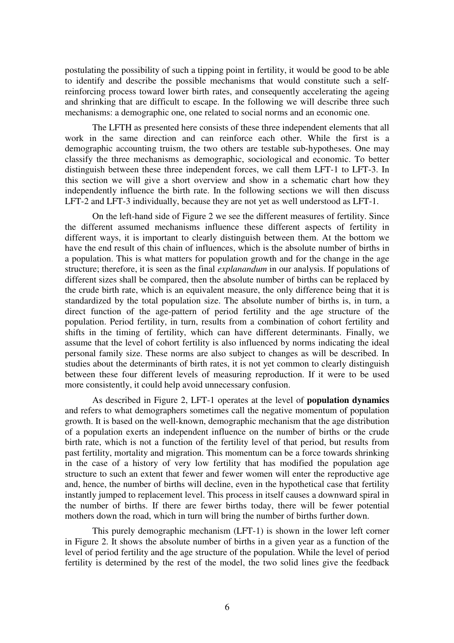postulating the possibility of such a tipping point in fertility, it would be good to be able to identify and describe the possible mechanisms that would constitute such a selfreinforcing process toward lower birth rates, and consequently accelerating the ageing and shrinking that are difficult to escape. In the following we will describe three such mechanisms: a demographic one, one related to social norms and an economic one.

The LFTH as presented here consists of these three independent elements that all work in the same direction and can reinforce each other. While the first is a demographic accounting truism, the two others are testable sub-hypotheses. One may classify the three mechanisms as demographic, sociological and economic. To better distinguish between these three independent forces, we call them LFT-1 to LFT-3. In this section we will give a short overview and show in a schematic chart how they independently influence the birth rate. In the following sections we will then discuss LFT-2 and LFT-3 individually, because they are not yet as well understood as LFT-1.

On the left-hand side of Figure 2 we see the different measures of fertility. Since the different assumed mechanisms influence these different aspects of fertility in different ways, it is important to clearly distinguish between them. At the bottom we have the end result of this chain of influences, which is the absolute number of births in a population. This is what matters for population growth and for the change in the age structure; therefore, it is seen as the final *explanandum* in our analysis. If populations of different sizes shall be compared, then the absolute number of births can be replaced by the crude birth rate, which is an equivalent measure, the only difference being that it is standardized by the total population size. The absolute number of births is, in turn, a direct function of the age-pattern of period fertility and the age structure of the population. Period fertility, in turn, results from a combination of cohort fertility and shifts in the timing of fertility, which can have different determinants. Finally, we assume that the level of cohort fertility is also influenced by norms indicating the ideal personal family size. These norms are also subject to changes as will be described. In studies about the determinants of birth rates, it is not yet common to clearly distinguish between these four different levels of measuring reproduction. If it were to be used more consistently, it could help avoid unnecessary confusion.

As described in Figure 2, LFT-1 operates at the level of **population dynamics** and refers to what demographers sometimes call the negative momentum of population growth. It is based on the well-known, demographic mechanism that the age distribution of a population exerts an independent influence on the number of births or the crude birth rate, which is not a function of the fertility level of that period, but results from past fertility, mortality and migration. This momentum can be a force towards shrinking in the case of a history of very low fertility that has modified the population age structure to such an extent that fewer and fewer women will enter the reproductive age and, hence, the number of births will decline, even in the hypothetical case that fertility instantly jumped to replacement level. This process in itself causes a downward spiral in the number of births. If there are fewer births today, there will be fewer potential mothers down the road, which in turn will bring the number of births further down.

This purely demographic mechanism (LFT-1) is shown in the lower left corner in Figure 2. It shows the absolute number of births in a given year as a function of the level of period fertility and the age structure of the population. While the level of period fertility is determined by the rest of the model, the two solid lines give the feedback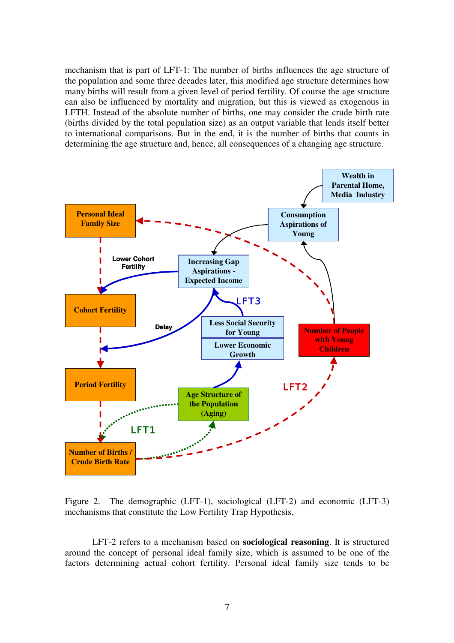mechanism that is part of LFT-1: The number of births influences the age structure of the population and some three decades later, this modified age structure determines how many births will result from a given level of period fertility. Of course the age structure can also be influenced by mortality and migration, but this is viewed as exogenous in LFTH. Instead of the absolute number of births, one may consider the crude birth rate (births divided by the total population size) as an output variable that lends itself better to international comparisons. But in the end, it is the number of births that counts in determining the age structure and, hence, all consequences of a changing age structure.



Figure 2. The demographic (LFT-1), sociological (LFT-2) and economic (LFT-3) mechanisms that constitute the Low Fertility Trap Hypothesis.

LFT-2 refers to a mechanism based on **sociological reasoning**. It is structured around the concept of personal ideal family size, which is assumed to be one of the factors determining actual cohort fertility. Personal ideal family size tends to be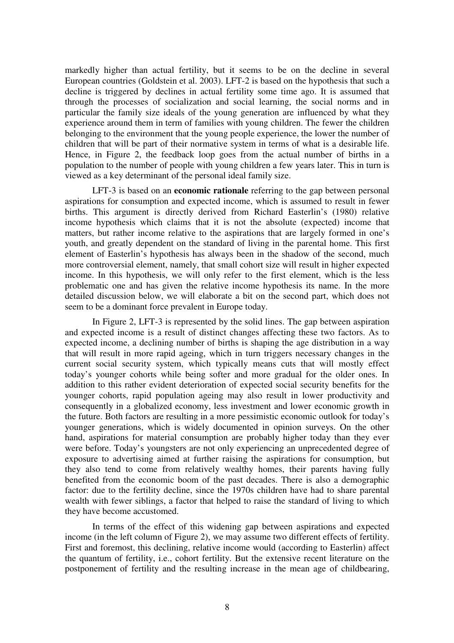markedly higher than actual fertility, but it seems to be on the decline in several European countries (Goldstein et al. 2003). LFT-2 is based on the hypothesis that such a decline is triggered by declines in actual fertility some time ago. It is assumed that through the processes of socialization and social learning, the social norms and in particular the family size ideals of the young generation are influenced by what they experience around them in term of families with young children. The fewer the children belonging to the environment that the young people experience, the lower the number of children that will be part of their normative system in terms of what is a desirable life. Hence, in Figure 2, the feedback loop goes from the actual number of births in a population to the number of people with young children a few years later. This in turn is viewed as a key determinant of the personal ideal family size.

LFT-3 is based on an **economic rationale** referring to the gap between personal aspirations for consumption and expected income, which is assumed to result in fewer births. This argument is directly derived from Richard Easterlin's (1980) relative income hypothesis which claims that it is not the absolute (expected) income that matters, but rather income relative to the aspirations that are largely formed in one's youth, and greatly dependent on the standard of living in the parental home. This first element of Easterlin's hypothesis has always been in the shadow of the second, much more controversial element, namely, that small cohort size will result in higher expected income. In this hypothesis, we will only refer to the first element, which is the less problematic one and has given the relative income hypothesis its name. In the more detailed discussion below, we will elaborate a bit on the second part, which does not seem to be a dominant force prevalent in Europe today.

In Figure 2, LFT-3 is represented by the solid lines. The gap between aspiration and expected income is a result of distinct changes affecting these two factors. As to expected income, a declining number of births is shaping the age distribution in a way that will result in more rapid ageing, which in turn triggers necessary changes in the current social security system, which typically means cuts that will mostly effect today's younger cohorts while being softer and more gradual for the older ones. In addition to this rather evident deterioration of expected social security benefits for the younger cohorts, rapid population ageing may also result in lower productivity and consequently in a globalized economy, less investment and lower economic growth in the future. Both factors are resulting in a more pessimistic economic outlook for today's younger generations, which is widely documented in opinion surveys. On the other hand, aspirations for material consumption are probably higher today than they ever were before. Today's youngsters are not only experiencing an unprecedented degree of exposure to advertising aimed at further raising the aspirations for consumption, but they also tend to come from relatively wealthy homes, their parents having fully benefited from the economic boom of the past decades. There is also a demographic factor: due to the fertility decline, since the 1970s children have had to share parental wealth with fewer siblings, a factor that helped to raise the standard of living to which they have become accustomed.

In terms of the effect of this widening gap between aspirations and expected income (in the left column of Figure 2), we may assume two different effects of fertility. First and foremost, this declining, relative income would (according to Easterlin) affect the quantum of fertility, i.e., cohort fertility. But the extensive recent literature on the postponement of fertility and the resulting increase in the mean age of childbearing,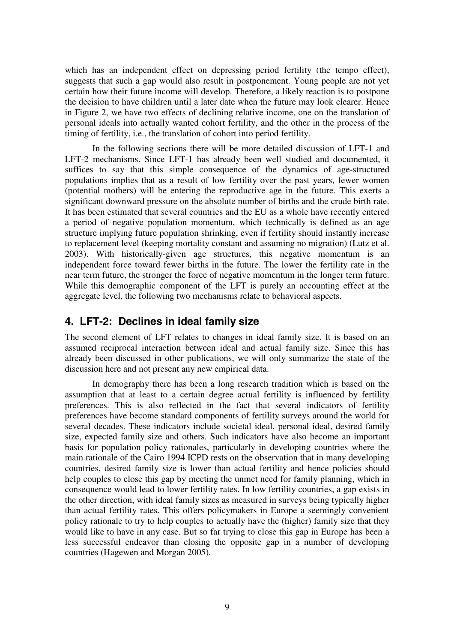which has an independent effect on depressing period fertility (the tempo effect), suggests that such a gap would also result in postponement. Young people are not yet certain how their future income will develop. Therefore, a likely reaction is to postpone the decision to have children until a later date when the future may look clearer. Hence in Figure 2, we have two effects of declining relative income, one on the translation of personal ideals into actually wanted cohort fertility, and the other in the process of the timing of fertility, i.e., the translation of cohort into period fertility.

In the following sections there will be more detailed discussion of LFT-1 and LFT-2 mechanisms. Since LFT-1 has already been well studied and documented, it suffices to say that this simple consequence of the dynamics of age-structured populations implies that as a result of low fertility over the past years, fewer women (potential mothers) will be entering the reproductive age in the future. This exerts a significant downward pressure on the absolute number of births and the crude birth rate. It has been estimated that several countries and the EU as a whole have recently entered a period of negative population momentum, which technically is defined as an age structure implying future population shrinking, even if fertility should instantly increase to replacement level (keeping mortality constant and assuming no migration) (Lutz et al. 2003). With historically-given age structures, this negative momentum is an independent force toward fewer births in the future. The lower the fertility rate in the near term future, the stronger the force of negative momentum in the longer term future. While this demographic component of the LFT is purely an accounting effect at the aggregate level, the following two mechanisms relate to behavioral aspects.

## **4. LFT-2: Declines in ideal family size**

The second element of LFT relates to changes in ideal family size. It is based on an assumed reciprocal interaction between ideal and actual family size. Since this has already been discussed in other publications, we will only summarize the state of the discussion here and not present any new empirical data.

In demography there has been a long research tradition which is based on the assumption that at least to a certain degree actual fertility is influenced by fertility preferences. This is also reflected in the fact that several indicators of fertility preferences have become standard components of fertility surveys around the world for several decades. These indicators include societal ideal, personal ideal, desired family size, expected family size and others. Such indicators have also become an important basis for population policy rationales, particularly in developing countries where the main rationale of the Cairo 1994 ICPD rests on the observation that in many developing countries, desired family size is lower than actual fertility and hence policies should help couples to close this gap by meeting the unmet need for family planning, which in consequence would lead to lower fertility rates. In low fertility countries, a gap exists in the other direction, with ideal family sizes as measured in surveys being typically higher than actual fertility rates. This offers policymakers in Europe a seemingly convenient policy rationale to try to help couples to actually have the (higher) family size that they would like to have in any case. But so far trying to close this gap in Europe has been a less successful endeavor than closing the opposite gap in a number of developing countries (Hagewen and Morgan 2005).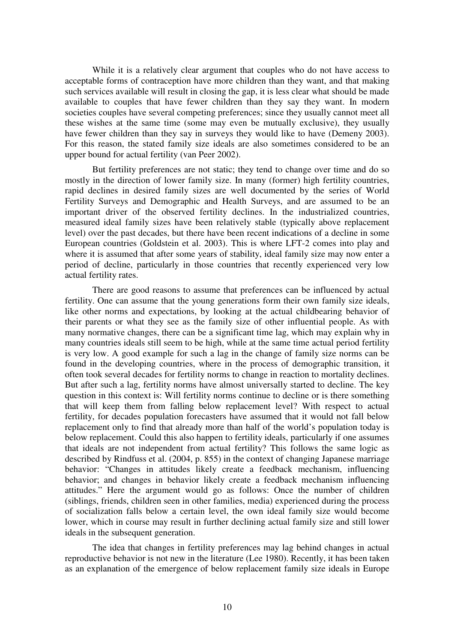While it is a relatively clear argument that couples who do not have access to acceptable forms of contraception have more children than they want, and that making such services available will result in closing the gap, it is less clear what should be made available to couples that have fewer children than they say they want. In modern societies couples have several competing preferences; since they usually cannot meet all these wishes at the same time (some may even be mutually exclusive), they usually have fewer children than they say in surveys they would like to have (Demeny 2003). For this reason, the stated family size ideals are also sometimes considered to be an upper bound for actual fertility (van Peer 2002).

But fertility preferences are not static; they tend to change over time and do so mostly in the direction of lower family size. In many (former) high fertility countries, rapid declines in desired family sizes are well documented by the series of World Fertility Surveys and Demographic and Health Surveys, and are assumed to be an important driver of the observed fertility declines. In the industrialized countries, measured ideal family sizes have been relatively stable (typically above replacement level) over the past decades, but there have been recent indications of a decline in some European countries (Goldstein et al. 2003). This is where LFT-2 comes into play and where it is assumed that after some years of stability, ideal family size may now enter a period of decline, particularly in those countries that recently experienced very low actual fertility rates.

There are good reasons to assume that preferences can be influenced by actual fertility. One can assume that the young generations form their own family size ideals, like other norms and expectations, by looking at the actual childbearing behavior of their parents or what they see as the family size of other influential people. As with many normative changes, there can be a significant time lag, which may explain why in many countries ideals still seem to be high, while at the same time actual period fertility is very low. A good example for such a lag in the change of family size norms can be found in the developing countries, where in the process of demographic transition, it often took several decades for fertility norms to change in reaction to mortality declines. But after such a lag, fertility norms have almost universally started to decline. The key question in this context is: Will fertility norms continue to decline or is there something that will keep them from falling below replacement level? With respect to actual fertility, for decades population forecasters have assumed that it would not fall below replacement only to find that already more than half of the world's population today is below replacement. Could this also happen to fertility ideals, particularly if one assumes that ideals are not independent from actual fertility? This follows the same logic as described by Rindfuss et al. (2004, p. 855) in the context of changing Japanese marriage behavior: "Changes in attitudes likely create a feedback mechanism, influencing behavior; and changes in behavior likely create a feedback mechanism influencing attitudes." Here the argument would go as follows: Once the number of children (siblings, friends, children seen in other families, media) experienced during the process of socialization falls below a certain level, the own ideal family size would become lower, which in course may result in further declining actual family size and still lower ideals in the subsequent generation.

The idea that changes in fertility preferences may lag behind changes in actual reproductive behavior is not new in the literature (Lee 1980). Recently, it has been taken as an explanation of the emergence of below replacement family size ideals in Europe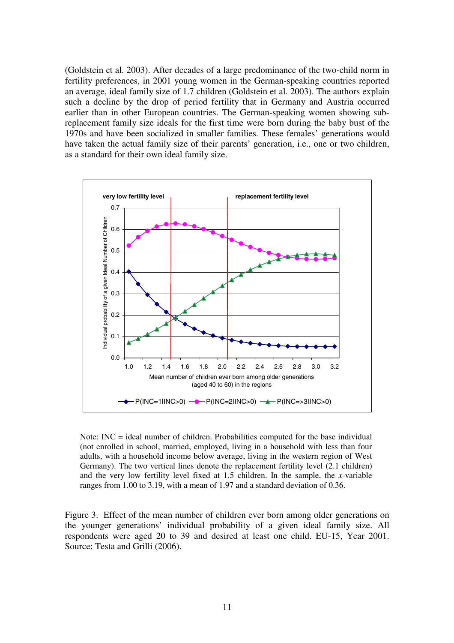(Goldstein et al. 2003). After decades of a large predominance of the two-child norm in fertility preferences, in 2001 young women in the German-speaking countries reported an average, ideal family size of 1.7 children (Goldstein et al. 2003). The authors explain such a decline by the drop of period fertility that in Germany and Austria occurred earlier than in other European countries. The German-speaking women showing subreplacement family size ideals for the first time were born during the baby bust of the 1970s and have been socialized in smaller families. These females' generations would have taken the actual family size of their parents' generation, i.e., one or two children, as a standard for their own ideal family size.



Note: INC = ideal number of children. Probabilities computed for the base individual (not enrolled in school, married, employed, living in a household with less than four adults, with a household income below average, living in the western region of West Germany). The two vertical lines denote the replacement fertility level (2.1 children) and the very low fertility level fixed at 1.5 children. In the sample, the *x*-variable ranges from 1.00 to 3.19, with a mean of 1.97 and a standard deviation of 0.36.

Figure 3. Effect of the mean number of children ever born among older generations on the younger generations' individual probability of a given ideal family size. All respondents were aged 20 to 39 and desired at least one child. EU-15, Year 2001. Source: Testa and Grilli (2006).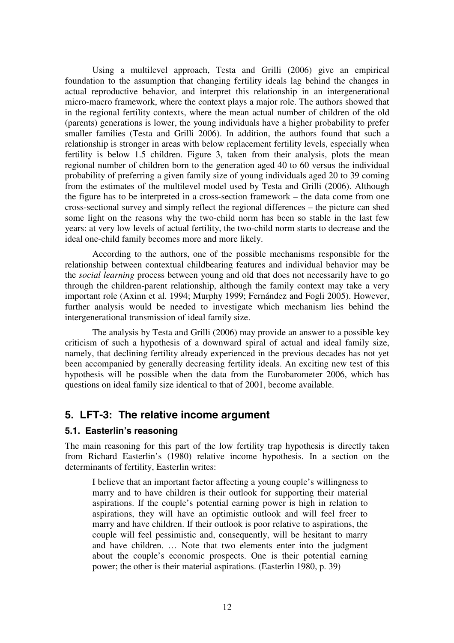Using a multilevel approach, Testa and Grilli (2006) give an empirical foundation to the assumption that changing fertility ideals lag behind the changes in actual reproductive behavior, and interpret this relationship in an intergenerational micro-macro framework, where the context plays a major role. The authors showed that in the regional fertility contexts, where the mean actual number of children of the old (parents) generations is lower, the young individuals have a higher probability to prefer smaller families (Testa and Grilli 2006). In addition, the authors found that such a relationship is stronger in areas with below replacement fertility levels, especially when fertility is below 1.5 children. Figure 3, taken from their analysis, plots the mean regional number of children born to the generation aged 40 to 60 versus the individual probability of preferring a given family size of young individuals aged 20 to 39 coming from the estimates of the multilevel model used by Testa and Grilli (2006). Although the figure has to be interpreted in a cross-section framework – the data come from one cross-sectional survey and simply reflect the regional differences – the picture can shed some light on the reasons why the two-child norm has been so stable in the last few years: at very low levels of actual fertility, the two-child norm starts to decrease and the ideal one-child family becomes more and more likely.

According to the authors, one of the possible mechanisms responsible for the relationship between contextual childbearing features and individual behavior may be the *social learning* process between young and old that does not necessarily have to go through the children-parent relationship, although the family context may take a very important role (Axinn et al. 1994; Murphy 1999; Fernández and Fogli 2005). However, further analysis would be needed to investigate which mechanism lies behind the intergenerational transmission of ideal family size.

The analysis by Testa and Grilli (2006) may provide an answer to a possible key criticism of such a hypothesis of a downward spiral of actual and ideal family size, namely, that declining fertility already experienced in the previous decades has not yet been accompanied by generally decreasing fertility ideals. An exciting new test of this hypothesis will be possible when the data from the Eurobarometer 2006, which has questions on ideal family size identical to that of 2001, become available.

## **5. LFT-3: The relative income argument**

#### **5.1. Easterlin's reasoning**

The main reasoning for this part of the low fertility trap hypothesis is directly taken from Richard Easterlin's (1980) relative income hypothesis. In a section on the determinants of fertility, Easterlin writes:

I believe that an important factor affecting a young couple's willingness to marry and to have children is their outlook for supporting their material aspirations. If the couple's potential earning power is high in relation to aspirations, they will have an optimistic outlook and will feel freer to marry and have children. If their outlook is poor relative to aspirations, the couple will feel pessimistic and, consequently, will be hesitant to marry and have children. … Note that two elements enter into the judgment about the couple's economic prospects. One is their potential earning power; the other is their material aspirations. (Easterlin 1980, p. 39)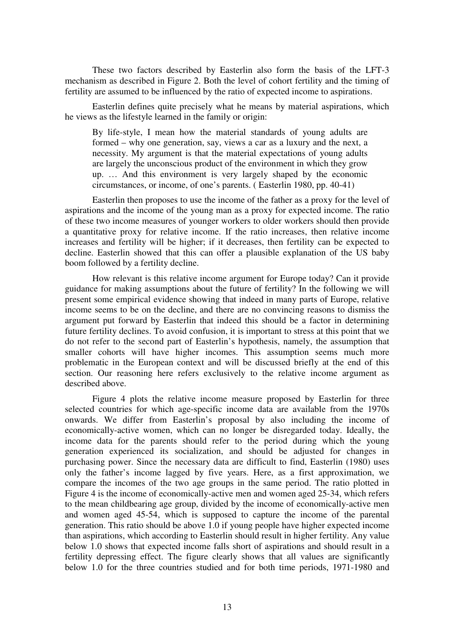These two factors described by Easterlin also form the basis of the LFT-3 mechanism as described in Figure 2. Both the level of cohort fertility and the timing of fertility are assumed to be influenced by the ratio of expected income to aspirations.

Easterlin defines quite precisely what he means by material aspirations, which he views as the lifestyle learned in the family or origin:

By life-style, I mean how the material standards of young adults are formed – why one generation, say, views a car as a luxury and the next, a necessity. My argument is that the material expectations of young adults are largely the unconscious product of the environment in which they grow up. … And this environment is very largely shaped by the economic circumstances, or income, of one's parents. ( Easterlin 1980, pp. 40-41)

Easterlin then proposes to use the income of the father as a proxy for the level of aspirations and the income of the young man as a proxy for expected income. The ratio of these two income measures of younger workers to older workers should then provide a quantitative proxy for relative income. If the ratio increases, then relative income increases and fertility will be higher; if it decreases, then fertility can be expected to decline. Easterlin showed that this can offer a plausible explanation of the US baby boom followed by a fertility decline.

How relevant is this relative income argument for Europe today? Can it provide guidance for making assumptions about the future of fertility? In the following we will present some empirical evidence showing that indeed in many parts of Europe, relative income seems to be on the decline, and there are no convincing reasons to dismiss the argument put forward by Easterlin that indeed this should be a factor in determining future fertility declines. To avoid confusion, it is important to stress at this point that we do not refer to the second part of Easterlin's hypothesis, namely, the assumption that smaller cohorts will have higher incomes. This assumption seems much more problematic in the European context and will be discussed briefly at the end of this section. Our reasoning here refers exclusively to the relative income argument as described above.

Figure 4 plots the relative income measure proposed by Easterlin for three selected countries for which age-specific income data are available from the 1970s onwards. We differ from Easterlin's proposal by also including the income of economically-active women, which can no longer be disregarded today. Ideally, the income data for the parents should refer to the period during which the young generation experienced its socialization, and should be adjusted for changes in purchasing power. Since the necessary data are difficult to find, Easterlin (1980) uses only the father's income lagged by five years. Here, as a first approximation, we compare the incomes of the two age groups in the same period. The ratio plotted in Figure 4 is the income of economically-active men and women aged 25-34, which refers to the mean childbearing age group, divided by the income of economically-active men and women aged 45-54, which is supposed to capture the income of the parental generation. This ratio should be above 1.0 if young people have higher expected income than aspirations, which according to Easterlin should result in higher fertility. Any value below 1.0 shows that expected income falls short of aspirations and should result in a fertility depressing effect. The figure clearly shows that all values are significantly below 1.0 for the three countries studied and for both time periods, 1971-1980 and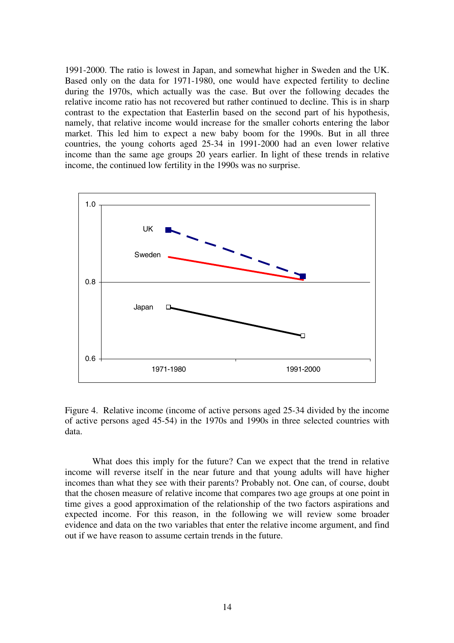1991-2000. The ratio is lowest in Japan, and somewhat higher in Sweden and the UK. Based only on the data for 1971-1980, one would have expected fertility to decline during the 1970s, which actually was the case. But over the following decades the relative income ratio has not recovered but rather continued to decline. This is in sharp contrast to the expectation that Easterlin based on the second part of his hypothesis, namely, that relative income would increase for the smaller cohorts entering the labor market. This led him to expect a new baby boom for the 1990s. But in all three countries, the young cohorts aged 25-34 in 1991-2000 had an even lower relative income than the same age groups 20 years earlier. In light of these trends in relative income, the continued low fertility in the 1990s was no surprise.



Figure 4. Relative income (income of active persons aged 25-34 divided by the income of active persons aged 45-54) in the 1970s and 1990s in three selected countries with data.

What does this imply for the future? Can we expect that the trend in relative income will reverse itself in the near future and that young adults will have higher incomes than what they see with their parents? Probably not. One can, of course, doubt that the chosen measure of relative income that compares two age groups at one point in time gives a good approximation of the relationship of the two factors aspirations and expected income. For this reason, in the following we will review some broader evidence and data on the two variables that enter the relative income argument, and find out if we have reason to assume certain trends in the future.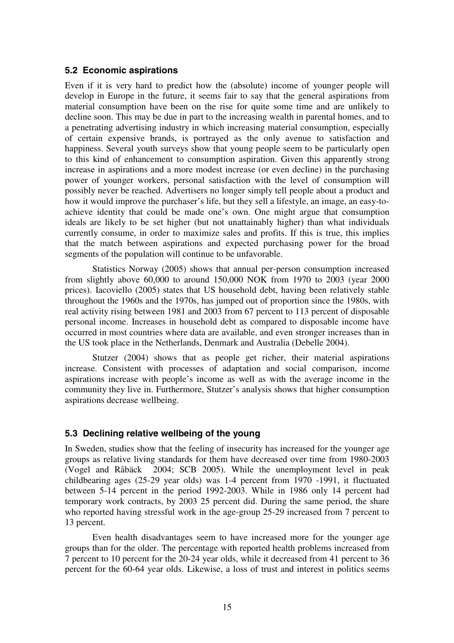#### **5.2 Economic aspirations**

Even if it is very hard to predict how the (absolute) income of younger people will develop in Europe in the future, it seems fair to say that the general aspirations from material consumption have been on the rise for quite some time and are unlikely to decline soon. This may be due in part to the increasing wealth in parental homes, and to a penetrating advertising industry in which increasing material consumption, especially of certain expensive brands, is portrayed as the only avenue to satisfaction and happiness. Several youth surveys show that young people seem to be particularly open to this kind of enhancement to consumption aspiration. Given this apparently strong increase in aspirations and a more modest increase (or even decline) in the purchasing power of younger workers, personal satisfaction with the level of consumption will possibly never be reached. Advertisers no longer simply tell people about a product and how it would improve the purchaser's life, but they sell a lifestyle, an image, an easy-toachieve identity that could be made one's own. One might argue that consumption ideals are likely to be set higher (but not unattainably higher) than what individuals currently consume, in order to maximize sales and profits. If this is true, this implies that the match between aspirations and expected purchasing power for the broad segments of the population will continue to be unfavorable.

Statistics Norway (2005) shows that annual per-person consumption increased from slightly above 60,000 to around 150,000 NOK from 1970 to 2003 (year 2000 prices). Iacoviello (2005) states that US household debt, having been relatively stable throughout the 1960s and the 1970s, has jumped out of proportion since the 1980s, with real activity rising between 1981 and 2003 from 67 percent to 113 percent of disposable personal income. Increases in household debt as compared to disposable income have occurred in most countries where data are available, and even stronger increases than in the US took place in the Netherlands, Denmark and Australia (Debelle 2004).

Stutzer (2004) shows that as people get richer, their material aspirations increase. Consistent with processes of adaptation and social comparison, income aspirations increase with people's income as well as with the average income in the community they live in. Furthermore, Stutzer's analysis shows that higher consumption aspirations decrease wellbeing.

#### **5.3 Declining relative wellbeing of the young**

In Sweden, studies show that the feeling of insecurity has increased for the younger age groups as relative living standards for them have decreased over time from 1980-2003 (Vogel and Råbäck 2004; SCB 2005). While the unemployment level in peak childbearing ages (25-29 year olds) was 1-4 percent from 1970 -1991, it fluctuated between 5-14 percent in the period 1992-2003. While in 1986 only 14 percent had temporary work contracts, by 2003 25 percent did. During the same period, the share who reported having stressful work in the age-group 25-29 increased from 7 percent to 13 percent.

Even health disadvantages seem to have increased more for the younger age groups than for the older. The percentage with reported health problems increased from 7 percent to 10 percent for the 20-24 year olds, while it decreased from 41 percent to 36 percent for the 60-64 year olds. Likewise, a loss of trust and interest in politics seems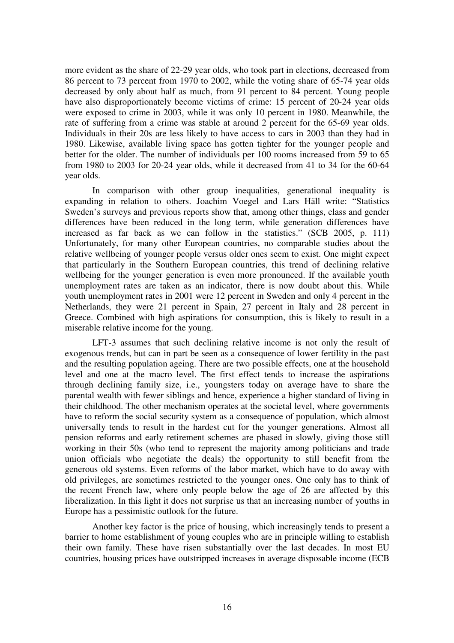more evident as the share of 22-29 year olds, who took part in elections, decreased from 86 percent to 73 percent from 1970 to 2002, while the voting share of 65-74 year olds decreased by only about half as much, from 91 percent to 84 percent. Young people have also disproportionately become victims of crime: 15 percent of 20-24 year olds were exposed to crime in 2003, while it was only 10 percent in 1980. Meanwhile, the rate of suffering from a crime was stable at around 2 percent for the 65-69 year olds. Individuals in their 20s are less likely to have access to cars in 2003 than they had in 1980. Likewise, available living space has gotten tighter for the younger people and better for the older. The number of individuals per 100 rooms increased from 59 to 65 from 1980 to 2003 for 20-24 year olds, while it decreased from 41 to 34 for the 60-64 year olds.

In comparison with other group inequalities, generational inequality is expanding in relation to others. Joachim Voegel and Lars Häll write: "Statistics Sweden's surveys and previous reports show that, among other things, class and gender differences have been reduced in the long term, while generation differences have increased as far back as we can follow in the statistics." (SCB 2005, p. 111) Unfortunately, for many other European countries, no comparable studies about the relative wellbeing of younger people versus older ones seem to exist. One might expect that particularly in the Southern European countries, this trend of declining relative wellbeing for the younger generation is even more pronounced. If the available youth unemployment rates are taken as an indicator, there is now doubt about this. While youth unemployment rates in 2001 were 12 percent in Sweden and only 4 percent in the Netherlands, they were 21 percent in Spain, 27 percent in Italy and 28 percent in Greece. Combined with high aspirations for consumption, this is likely to result in a miserable relative income for the young.

LFT-3 assumes that such declining relative income is not only the result of exogenous trends, but can in part be seen as a consequence of lower fertility in the past and the resulting population ageing. There are two possible effects, one at the household level and one at the macro level. The first effect tends to increase the aspirations through declining family size, i.e., youngsters today on average have to share the parental wealth with fewer siblings and hence, experience a higher standard of living in their childhood. The other mechanism operates at the societal level, where governments have to reform the social security system as a consequence of population, which almost universally tends to result in the hardest cut for the younger generations. Almost all pension reforms and early retirement schemes are phased in slowly, giving those still working in their 50s (who tend to represent the majority among politicians and trade union officials who negotiate the deals) the opportunity to still benefit from the generous old systems. Even reforms of the labor market, which have to do away with old privileges, are sometimes restricted to the younger ones. One only has to think of the recent French law, where only people below the age of 26 are affected by this liberalization. In this light it does not surprise us that an increasing number of youths in Europe has a pessimistic outlook for the future.

Another key factor is the price of housing, which increasingly tends to present a barrier to home establishment of young couples who are in principle willing to establish their own family. These have risen substantially over the last decades. In most EU countries, housing prices have outstripped increases in average disposable income (ECB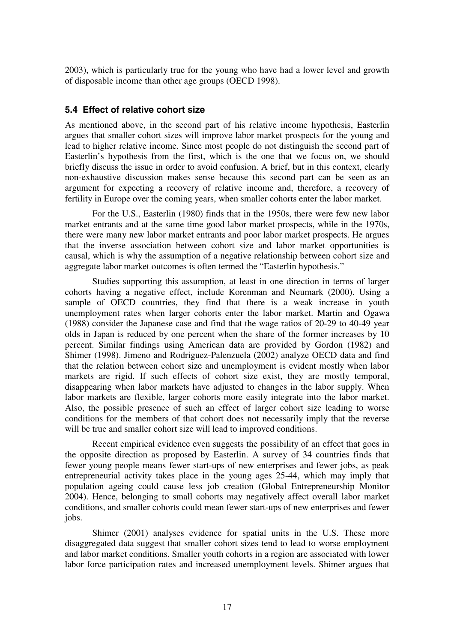2003), which is particularly true for the young who have had a lower level and growth of disposable income than other age groups (OECD 1998).

#### **5.4 Effect of relative cohort size**

As mentioned above, in the second part of his relative income hypothesis, Easterlin argues that smaller cohort sizes will improve labor market prospects for the young and lead to higher relative income. Since most people do not distinguish the second part of Easterlin's hypothesis from the first, which is the one that we focus on, we should briefly discuss the issue in order to avoid confusion. A brief, but in this context, clearly non-exhaustive discussion makes sense because this second part can be seen as an argument for expecting a recovery of relative income and, therefore, a recovery of fertility in Europe over the coming years, when smaller cohorts enter the labor market.

For the U.S., Easterlin (1980) finds that in the 1950s, there were few new labor market entrants and at the same time good labor market prospects, while in the 1970s, there were many new labor market entrants and poor labor market prospects. He argues that the inverse association between cohort size and labor market opportunities is causal, which is why the assumption of a negative relationship between cohort size and aggregate labor market outcomes is often termed the "Easterlin hypothesis."

Studies supporting this assumption, at least in one direction in terms of larger cohorts having a negative effect, include Korenman and Neumark (2000). Using a sample of OECD countries, they find that there is a weak increase in youth unemployment rates when larger cohorts enter the labor market. Martin and Ogawa (1988) consider the Japanese case and find that the wage ratios of 20-29 to 40-49 year olds in Japan is reduced by one percent when the share of the former increases by 10 percent. Similar findings using American data are provided by Gordon (1982) and Shimer (1998). Jimeno and Rodriguez-Palenzuela (2002) analyze OECD data and find that the relation between cohort size and unemployment is evident mostly when labor markets are rigid. If such effects of cohort size exist, they are mostly temporal, disappearing when labor markets have adjusted to changes in the labor supply. When labor markets are flexible, larger cohorts more easily integrate into the labor market. Also, the possible presence of such an effect of larger cohort size leading to worse conditions for the members of that cohort does not necessarily imply that the reverse will be true and smaller cohort size will lead to improved conditions.

Recent empirical evidence even suggests the possibility of an effect that goes in the opposite direction as proposed by Easterlin. A survey of 34 countries finds that fewer young people means fewer start-ups of new enterprises and fewer jobs, as peak entrepreneurial activity takes place in the young ages 25-44, which may imply that population ageing could cause less job creation (Global Entrepreneurship Monitor 2004). Hence, belonging to small cohorts may negatively affect overall labor market conditions, and smaller cohorts could mean fewer start-ups of new enterprises and fewer jobs.

Shimer (2001) analyses evidence for spatial units in the U.S. These more disaggregated data suggest that smaller cohort sizes tend to lead to worse employment and labor market conditions. Smaller youth cohorts in a region are associated with lower labor force participation rates and increased unemployment levels. Shimer argues that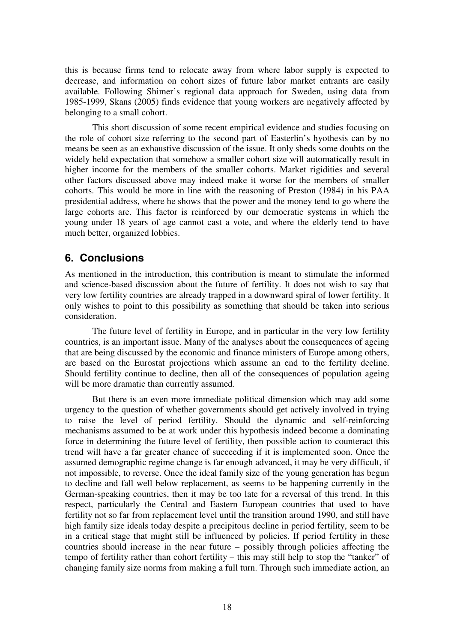this is because firms tend to relocate away from where labor supply is expected to decrease, and information on cohort sizes of future labor market entrants are easily available. Following Shimer's regional data approach for Sweden, using data from 1985-1999, Skans (2005) finds evidence that young workers are negatively affected by belonging to a small cohort.

This short discussion of some recent empirical evidence and studies focusing on the role of cohort size referring to the second part of Easterlin's hyothesis can by no means be seen as an exhaustive discussion of the issue. It only sheds some doubts on the widely held expectation that somehow a smaller cohort size will automatically result in higher income for the members of the smaller cohorts. Market rigidities and several other factors discussed above may indeed make it worse for the members of smaller cohorts. This would be more in line with the reasoning of Preston (1984) in his PAA presidential address, where he shows that the power and the money tend to go where the large cohorts are. This factor is reinforced by our democratic systems in which the young under 18 years of age cannot cast a vote, and where the elderly tend to have much better, organized lobbies.

## **6. Conclusions**

As mentioned in the introduction, this contribution is meant to stimulate the informed and science-based discussion about the future of fertility. It does not wish to say that very low fertility countries are already trapped in a downward spiral of lower fertility. It only wishes to point to this possibility as something that should be taken into serious consideration.

The future level of fertility in Europe, and in particular in the very low fertility countries, is an important issue. Many of the analyses about the consequences of ageing that are being discussed by the economic and finance ministers of Europe among others, are based on the Eurostat projections which assume an end to the fertility decline. Should fertility continue to decline, then all of the consequences of population ageing will be more dramatic than currently assumed.

But there is an even more immediate political dimension which may add some urgency to the question of whether governments should get actively involved in trying to raise the level of period fertility. Should the dynamic and self-reinforcing mechanisms assumed to be at work under this hypothesis indeed become a dominating force in determining the future level of fertility, then possible action to counteract this trend will have a far greater chance of succeeding if it is implemented soon. Once the assumed demographic regime change is far enough advanced, it may be very difficult, if not impossible, to reverse. Once the ideal family size of the young generation has begun to decline and fall well below replacement, as seems to be happening currently in the German-speaking countries, then it may be too late for a reversal of this trend. In this respect, particularly the Central and Eastern European countries that used to have fertility not so far from replacement level until the transition around 1990, and still have high family size ideals today despite a precipitous decline in period fertility, seem to be in a critical stage that might still be influenced by policies. If period fertility in these countries should increase in the near future – possibly through policies affecting the tempo of fertility rather than cohort fertility – this may still help to stop the "tanker" of changing family size norms from making a full turn. Through such immediate action, an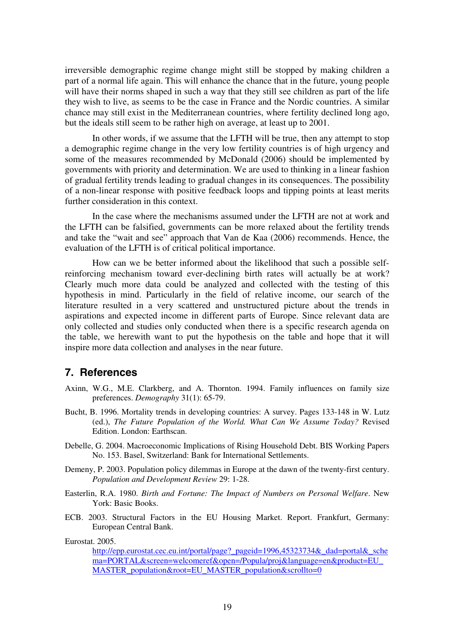irreversible demographic regime change might still be stopped by making children a part of a normal life again. This will enhance the chance that in the future, young people will have their norms shaped in such a way that they still see children as part of the life they wish to live, as seems to be the case in France and the Nordic countries. A similar chance may still exist in the Mediterranean countries, where fertility declined long ago, but the ideals still seem to be rather high on average, at least up to 2001.

In other words, if we assume that the LFTH will be true, then any attempt to stop a demographic regime change in the very low fertility countries is of high urgency and some of the measures recommended by McDonald (2006) should be implemented by governments with priority and determination. We are used to thinking in a linear fashion of gradual fertility trends leading to gradual changes in its consequences. The possibility of a non-linear response with positive feedback loops and tipping points at least merits further consideration in this context.

In the case where the mechanisms assumed under the LFTH are not at work and the LFTH can be falsified, governments can be more relaxed about the fertility trends and take the "wait and see" approach that Van de Kaa (2006) recommends. Hence, the evaluation of the LFTH is of critical political importance.

How can we be better informed about the likelihood that such a possible selfreinforcing mechanism toward ever-declining birth rates will actually be at work? Clearly much more data could be analyzed and collected with the testing of this hypothesis in mind. Particularly in the field of relative income, our search of the literature resulted in a very scattered and unstructured picture about the trends in aspirations and expected income in different parts of Europe. Since relevant data are only collected and studies only conducted when there is a specific research agenda on the table, we herewith want to put the hypothesis on the table and hope that it will inspire more data collection and analyses in the near future.

#### **7. References**

- Axinn, W.G., M.E. Clarkberg, and A. Thornton. 1994. Family influences on family size preferences. *Demography* 31(1): 65-79.
- Bucht, B. 1996. Mortality trends in developing countries: A survey. Pages 133-148 in W. Lutz (ed.), *The Future Population of the World. What Can We Assume Today?* Revised Edition. London: Earthscan.
- Debelle, G. 2004. Macroeconomic Implications of Rising Household Debt. BIS Working Papers No. 153. Basel, Switzerland: Bank for International Settlements.
- Demeny, P. 2003. Population policy dilemmas in Europe at the dawn of the twenty-first century. *Population and Development Review* 29: 1-28.
- Easterlin, R.A. 1980. *Birth and Fortune: The Impact of Numbers on Personal Welfare*. New York: Basic Books.
- ECB. 2003. Structural Factors in the EU Housing Market. Report. Frankfurt, Germany: European Central Bank.

Eurostat. 2005.

http://epp.eurostat.cec.eu.int/portal/page? pageid=1996,45323734&\_dad=portal&\_sche ma=PORTAL&screen=welcomeref&open=/Popula/proj&language=en&product=EU\_ MASTER\_population&root=EU\_MASTER\_population&scrollto=0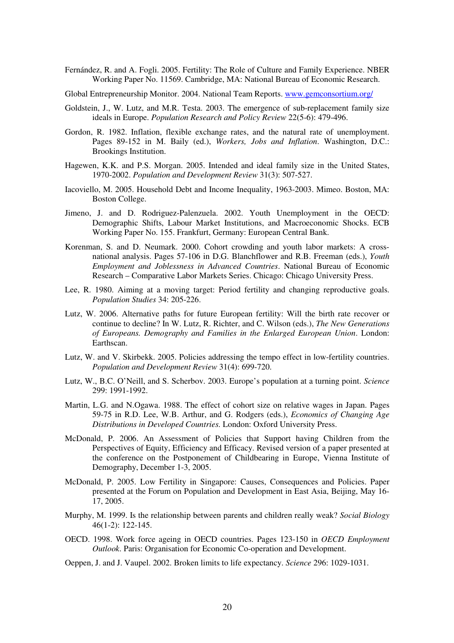- Fernández, R. and A. Fogli. 2005. Fertility: The Role of Culture and Family Experience. NBER Working Paper No. 11569. Cambridge, MA: National Bureau of Economic Research.
- Global Entrepreneurship Monitor. 2004. National Team Reports. www.gemconsortium.org/
- Goldstein, J., W. Lutz, and M.R. Testa. 2003. The emergence of sub-replacement family size ideals in Europe. *Population Research and Policy Review* 22(5-6): 479-496.
- Gordon, R. 1982. Inflation, flexible exchange rates, and the natural rate of unemployment. Pages 89-152 in M. Baily (ed.), *Workers, Jobs and Inflation*. Washington, D.C.: Brookings Institution.
- Hagewen, K.K. and P.S. Morgan. 2005. Intended and ideal family size in the United States, 1970-2002. *Population and Development Review* 31(3): 507-527.
- Iacoviello, M. 2005. Household Debt and Income Inequality, 1963-2003. Mimeo. Boston, MA: Boston College.
- Jimeno, J. and D. Rodriguez-Palenzuela. 2002. Youth Unemployment in the OECD: Demographic Shifts, Labour Market Institutions, and Macroeconomic Shocks. ECB Working Paper No. 155. Frankfurt, Germany: European Central Bank.
- Korenman, S. and D. Neumark. 2000. Cohort crowding and youth labor markets: A crossnational analysis. Pages 57-106 in D.G. Blanchflower and R.B. Freeman (eds.), *Youth Employment and Joblessness in Advanced Countries*. National Bureau of Economic Research – Comparative Labor Markets Series. Chicago: Chicago University Press.
- Lee, R. 1980. Aiming at a moving target: Period fertility and changing reproductive goals. *Population Studies* 34: 205-226.
- Lutz, W. 2006. Alternative paths for future European fertility: Will the birth rate recover or continue to decline? In W. Lutz, R. Richter, and C. Wilson (eds.), *The New Generations of Europeans. Demography and Families in the Enlarged European Union*. London: Earthscan.
- Lutz, W. and V. Skirbekk. 2005. Policies addressing the tempo effect in low-fertility countries. *Population and Development Review* 31(4): 699-720.
- Lutz, W., B.C. O'Neill, and S. Scherbov. 2003. Europe's population at a turning point. *Science*  299: 1991-1992.
- Martin, L.G. and N.Ogawa. 1988. The effect of cohort size on relative wages in Japan. Pages 59-75 in R.D. Lee, W.B. Arthur, and G. Rodgers (eds.), *Economics of Changing Age Distributions in Developed Countries.* London: Oxford University Press.
- McDonald, P. 2006. An Assessment of Policies that Support having Children from the Perspectives of Equity, Efficiency and Efficacy. Revised version of a paper presented at the conference on the Postponement of Childbearing in Europe, Vienna Institute of Demography, December 1-3, 2005.
- McDonald, P. 2005. Low Fertility in Singapore: Causes, Consequences and Policies. Paper presented at the Forum on Population and Development in East Asia, Beijing, May 16- 17, 2005.
- Murphy, M. 1999. Is the relationship between parents and children really weak? *Social Biology* 46(1-2): 122-145.
- OECD. 1998. Work force ageing in OECD countries. Pages 123-150 in *OECD Employment Outlook*. Paris: Organisation for Economic Co-operation and Development.
- Oeppen, J. and J. Vaupel. 2002. Broken limits to life expectancy. *Science* 296: 1029-1031.